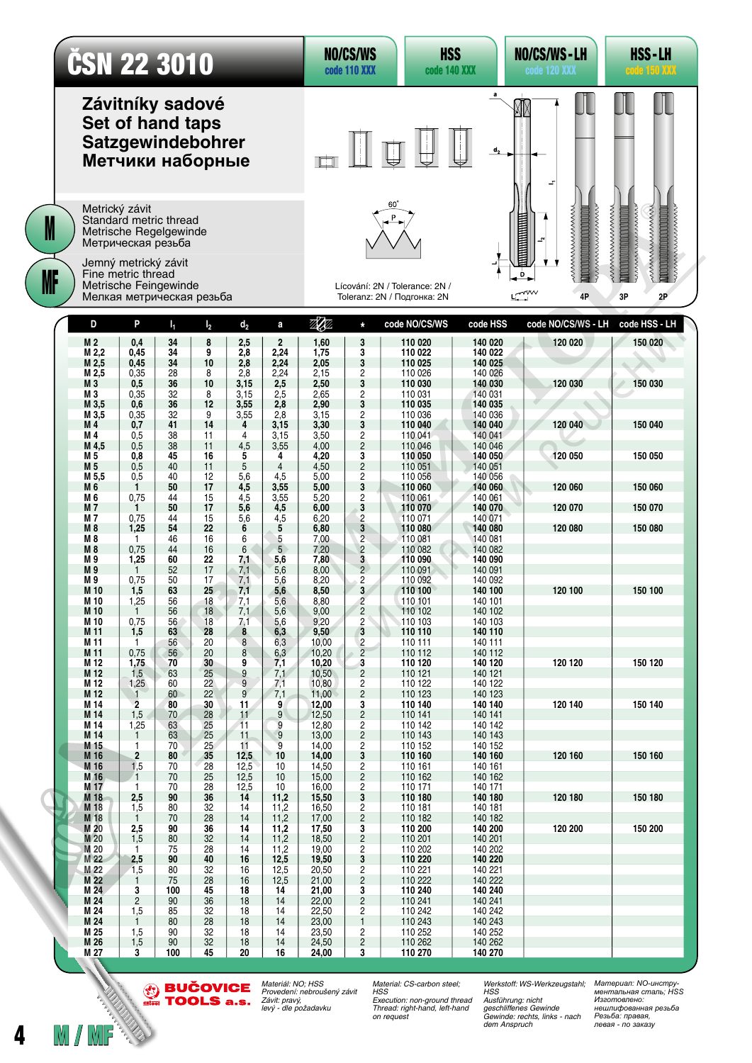|                | ČSN 22 3010                                                                                                                                                                                  |                                                                  |                                  |                                  |                                        |                                               |                                                               | <b>NO/CS/WS</b><br>code 110 XXX                                                                               | <b>HSS</b><br><b>code 140 XXX</b>                              |                                                                | NO/CS/WS-LH<br>code 120 XXX                                                                           | HSS-LH<br>code 150 XXX                                |
|----------------|----------------------------------------------------------------------------------------------------------------------------------------------------------------------------------------------|------------------------------------------------------------------|----------------------------------|----------------------------------|----------------------------------------|-----------------------------------------------|---------------------------------------------------------------|---------------------------------------------------------------------------------------------------------------|----------------------------------------------------------------|----------------------------------------------------------------|-------------------------------------------------------------------------------------------------------|-------------------------------------------------------|
|                | Závitníky sadové<br>Set of hand taps<br>Satzgewindebohrer<br>Метчики наборные                                                                                                                |                                                                  |                                  |                                  |                                        |                                               |                                                               |                                                                                                               |                                                                | d.                                                             |                                                                                                       |                                                       |
| M<br><b>MF</b> | Metrický závit<br>Standard metric thread<br>Metrische Regelgewinde<br>Метрическая резьба<br>Jemný metrický závit<br>Fine metric thread<br>Metrische Feingewinde<br>Мелкая метрическая резьба |                                                                  |                                  |                                  |                                        |                                               | Lícování: 2N / Tolerance: 2N /<br>Toleranz: 2N / Подгонка: 2N |                                                                                                               |                                                                |                                                                | $\sim$<br>WWWWWWWW<br><b>HARRICHER HEIGHT</b><br>$\mathbf{r}$<br>ò<br>$\mathbb{R}^{\mathbb{W}}$<br>4P | >>>>>>>>>>>>>>><br>wwwwwwwww<br>WWWWWWWWW<br>3P<br>2Р |
|                | D                                                                                                                                                                                            | P                                                                | И,                               | I <sub>2</sub>                   | $d_2$                                  | a                                             | <u>NJI</u>                                                    | $\star$                                                                                                       | code NO/CS/WS                                                  | code HSS                                                       | code NO/CS/WS - LH                                                                                    | code HSS - LH                                         |
|                | M <sub>2</sub><br>M 2.2                                                                                                                                                                      | 0,4<br>0,45                                                      | 34<br>34                         | 8<br>9                           | 2,5<br>2,8                             | $\overline{2}$<br>2,24                        | 1,60<br>1,75                                                  | 3<br>3                                                                                                        | 110 020<br>110 022                                             | 140 020<br>140 022                                             | 120 020                                                                                               | 150 020                                               |
|                | M 2,5<br>M 2,5<br>M 3<br>M 3<br>M 3,5                                                                                                                                                        | 0,45<br>0,35<br>0,5<br>0,35<br>0,6                               | 34<br>28<br>36<br>32<br>36       | 10<br>8<br>10<br>8<br>12         | 2,8<br>2,8<br>3,15<br>3,15<br>3,55     | 2,24<br>2,24<br>2,5<br>2,5<br>2,8             | 2,05<br>2,15<br>2,50<br>2,65<br>2,90                          | 3<br>$\overline{c}$<br>3<br>$\overline{\mathbf{c}}$<br>3                                                      | 110 025<br>110 026<br>110 030<br>110 031<br>110 035            | 140 025<br>140 026<br>140 030<br>140 031<br>140 035            | 120 030                                                                                               | 150 030                                               |
|                | M 3,5<br>M4                                                                                                                                                                                  | 0,35<br>0,7                                                      | 32<br>41                         | 9<br>14                          | 3,55<br>4                              | 2,8<br>3,15                                   | 3,15<br>3,30                                                  | $\overline{\mathbf{c}}$<br>3                                                                                  | 110 036<br>110 040                                             | 140 036<br>140 040                                             | 120 040                                                                                               | 150 040                                               |
|                | M 4<br>M 4,5<br>M 5<br>M 5<br>M 5,5                                                                                                                                                          | 0,5<br>0,5<br>0,8<br>0.5<br>0.5                                  | 38<br>38<br>45<br>40<br>40       | 11<br>11<br>16<br>11<br>12       | $\overline{4}$<br>4,5<br>5<br>5<br>5,6 | 3,15<br>3,55<br>4<br>$\overline{4}$<br>4,5    | 3,50<br>4,00<br>4,20<br>4,50<br>5,00                          | $\frac{2}{2}$<br>3<br>$\overline{c}$<br>$\overline{c}$                                                        | 110 041<br>110 046<br>110 050<br>110 051<br>110 056            | 140 041<br>140 046<br>140 050<br>140 051<br>140 056            | 120 050                                                                                               | 150 050                                               |
|                | M 6<br>M 6                                                                                                                                                                                   | $\mathbf{1}$<br>0,75                                             | 50<br>44                         | 17<br>15                         | 4,5<br>4,5                             | 3,55<br>3,55                                  | 5,00<br>5,20                                                  | 3<br>$\overline{c}$                                                                                           | 110 060<br>110 061                                             | 140 060<br>140 061                                             | 120 060                                                                                               | 150 060                                               |
|                | <b>M7</b><br>M 7                                                                                                                                                                             | 1<br>0,75                                                        | 50<br>44                         | 17<br>15                         | 5,6<br>5,6                             | 4,5<br>4,5                                    | 6,00<br>6,20                                                  | 3<br>$\overline{\mathbf{c}}$                                                                                  | 110 070<br>110 071                                             | 140 070<br>140 071                                             | 120 070                                                                                               | 150 070                                               |
|                | M 8<br>M 8<br>M 8<br>M 9<br>M 9<br>M 9                                                                                                                                                       | 1,25<br>1<br>0,75<br>1,25<br>$\mathbf{1}$<br>0,75                | 54<br>46<br>44<br>60<br>52<br>50 | 22<br>16<br>16<br>22<br>17<br>17 | 6<br>6<br>6<br>7,1<br>7,1<br>7,1       | 5<br>5<br>$\overline{5}$<br>5,6<br>5,6<br>5,6 | 6,80<br>7,00<br>7,20<br>7,80<br>8,00<br>8,20                  | 3<br>$\frac{2}{2}$<br>3<br>$\overline{2}$<br>2                                                                | 110 080<br>110 081<br>110 082<br>110 090<br>110 091<br>110 092 | 140 080<br>140 081<br>140 082<br>140 090<br>140 091<br>140 092 | 120 080                                                                                               | 150 080                                               |
|                | M 10<br>M 10<br>M 10<br>M 10<br>M 11<br>M 11                                                                                                                                                 | 1,5<br>1,25<br>$\mathbf{1}$<br>0,75<br>1,5<br>1                  | 63<br>56<br>56<br>56<br>63<br>56 | 25<br>18<br>18<br>18<br>28<br>20 | 7,1<br>7,1<br>7,1<br>7,1<br>8<br>8     | 5,6<br>5,6<br>5,6<br>5,6<br>6,3<br>6,3        | 8,50<br>8,80<br>9,00<br>9,20<br>9,50<br>10,00                 | 3<br>$\overline{c}$<br>$\overline{c}$<br>$\overline{\mathbf{c}}$<br>3<br>$\overline{\mathbf{c}}$              | 110 100<br>110 101<br>110 102<br>110 103<br>110 110<br>110 111 | 140 100<br>140 101<br>140 102<br>140 103<br>140 110<br>140 111 | 120 100                                                                                               | 150 100                                               |
|                | M 11<br>M 12<br>M 12<br>M 12<br>M 12                                                                                                                                                         | 0,75<br>1,75<br>1,5<br>1,25<br>$\vert$                           | 56<br>70<br>63<br>60<br>60       | 20<br>30<br>25<br>22<br>22       | 8<br>9<br>9<br>9<br>9                  | 6,3<br>7,1<br>7,1<br>7,1<br>7,1               | 10,20<br>10,20<br>10,50<br>10,80<br>11,00                     | $\overline{c}$<br>3<br>$\overline{\mathbf{c}}$<br>$\overline{c}$<br>$\overline{\mathbf{c}}$                   | 110 112<br>110 120<br>110 121<br>110 122<br>110 123            | 140 112<br>140 120<br>140 121<br>140 122<br>140 123            | 120 120                                                                                               | 150 120                                               |
|                | M 14<br>M 14<br>M 14<br>M 14                                                                                                                                                                 | $\overline{2}$<br>1,5<br>1,25<br>$\mathbf{1}$                    | 80<br>70<br>63<br>63             | 30<br>28<br>25<br>25<br>25       | 11<br>11<br>11<br>11                   | 9<br>9<br>9<br>9<br>9                         | 12,00<br>12,50<br>12,80<br>13,00<br>14,00                     | 3<br>$\overline{\mathbf{c}}$<br>$\frac{2}{2}$                                                                 | 110 140<br>110 141<br>110 142<br>110 143<br>110 152            | 140 140<br>140 141<br>140 142<br>140 143<br>140 152            | 120 140                                                                                               | 150 140                                               |
|                | M 15<br>M 16<br>M 16<br>M <sub>16</sub>                                                                                                                                                      | $\mathbf{1}$<br>$\overline{\mathbf{c}}$<br>1,5<br>$\overline{1}$ | 70<br>80<br>70<br>70             | 35<br>28<br>25                   | 11<br>12,5<br>12,5<br>12,5             | 10<br>10<br>10                                | 14,00<br>14,50<br>15,00                                       | $\overline{\mathbf{c}}$<br>3<br>$\frac{2}{2}$                                                                 | 110 160<br>110 161<br>110 162                                  | 140 160<br>140 161<br>140 162                                  | 120 160                                                                                               | 150 160                                               |
|                | M 17<br>M 18                                                                                                                                                                                 | $\mathbf{1}$<br>2,5                                              | 70<br>90                         | 28<br>36                         | 12,5<br>14                             | 10<br>11,2                                    | 16,00<br>15,50                                                | $\overline{\mathbf{c}}$<br>3                                                                                  | 110 171<br>110 180                                             | 140 171<br>140 180                                             | 120 180                                                                                               | 150 180                                               |
|                | M 18<br>M 18<br>M 20<br>M 20<br>M 20                                                                                                                                                         | 1,5<br>$\mathbf{1}$<br>2,5<br>1,5<br>-1                          | 80<br>70<br>90<br>80<br>75       | 32<br>28<br>36<br>32<br>28       | 14<br>14<br>14<br>14<br>14             | 11,2<br>11,2<br>11,2<br>11,2<br>11,2          | 16,50<br>17,00<br>17,50<br>18,50<br>19,00                     | $\overline{\mathbf{c}}$<br>$\overline{\mathbf{c}}$<br>3<br>$\overline{\mathbf{c}}$<br>$\overline{\mathbf{c}}$ | 110 181<br>110 182<br>110 200<br>110 201<br>110 202            | 140 181<br>140 182<br>140 200<br>140 201<br>140 202            | 120 200                                                                                               | 150 200                                               |
|                | M 22<br>M 22                                                                                                                                                                                 | 2,5<br>1,5                                                       | 90<br>80                         | 40<br>32                         | 16<br>16                               | 12,5<br>12,5                                  | 19,50<br>20,50                                                | 3<br>$\overline{\mathbf{c}}$                                                                                  | 110 220<br>110 221                                             | 140 220<br>140 221                                             |                                                                                                       |                                                       |
|                | M 22<br>M 24                                                                                                                                                                                 | $\mathbf{1}$<br>3                                                | 75<br>100                        | 28<br>45                         | 16<br>18                               | 12,5<br>14                                    | 21,00<br>21,00                                                | $\overline{\mathbf{c}}$<br>3                                                                                  | 110 222<br>110 240                                             | 140 222<br>140 240                                             |                                                                                                       |                                                       |
|                | M 24<br>M 24                                                                                                                                                                                 | $\overline{c}$<br>1,5                                            | 90<br>85                         | 36<br>32                         | 18<br>18                               | 14<br>14                                      | 22,00<br>22,50                                                | $\overline{\mathbf{c}}$<br>2                                                                                  | 110 241<br>110 242                                             | 140 241<br>140 242                                             |                                                                                                       |                                                       |
|                | M 24<br>M 25                                                                                                                                                                                 | $\mathbf{1}$<br>1,5                                              | 80<br>90                         | 28<br>32                         | 18<br>18                               | 14<br>14                                      | 23,00<br>23,50                                                | 1<br>$\overline{\mathbf{c}}$                                                                                  | 110 243<br>110 252                                             | 140 243<br>140 252                                             |                                                                                                       |                                                       |
|                | M 26<br>M 27                                                                                                                                                                                 | 1,5<br>3                                                         | 90<br>100                        | 32<br>45                         | 18<br>20                               | 14<br>16                                      | 24,50<br>24,00                                                | $\overline{c}$<br>3                                                                                           | 110 262<br>110 270                                             | 140 262<br>140 270                                             |                                                                                                       |                                                       |

**EUČOVICE** Materiál: NO; HSS<br> *Hullipper TOOLS* a.s. *Závit: prayi,*<br> *Levy - dle požadavku*<br> **MELLIPPER LEVIE DES** a.s. *Závit: prayi,*<br> *levy - dle požadavku* 

Material: CS-carbon steel;<br>HSS<br>Execution: non-ground thread<br>Thread: right-hand, left-hand<br>on request

Werkstoff: WS-Werkzeugstahl; Материал: NO-инстру-<br>HSS мизибитипд: nicht известный известный известный известный известный известный известный известный судерен<br>Georint не насти не не не не не не не не не не дель девуши с